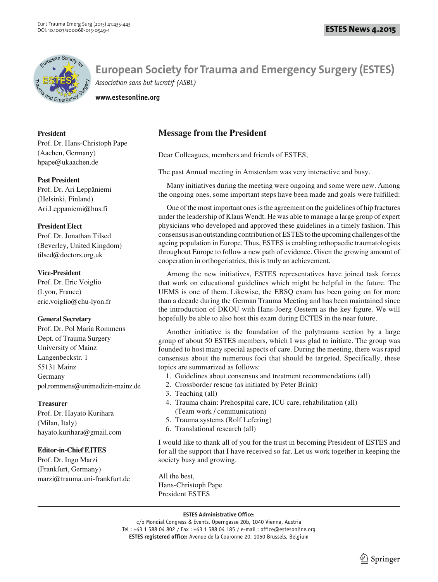

**www.estesonline.org**

#### **President**

Prof. Dr. Hans-Christoph Pape (Aachen, Germany) hpape@ukaachen.de

#### **Past President**

Prof. Dr. Ari Leppäniemi (Helsinki, Finland) Ari.Leppaniemi@hus.fi

#### **President Elect**

Prof. Dr. Jonathan Tilsed (Beverley, United Kingdom) tilsed@doctors.org.uk

#### **Vice-President**

Prof. Dr. Eric Voiglio (Lyon, France) eric.voiglio@chu-lyon.fr

#### **General Secretary**

Prof. Dr. Pol Maria Rommens Dept. of Trauma Surgery University of Mainz Langenbeckstr. 1 55131 Mainz Germany pol.rommens@unimedizin-mainz.de

## **Treasurer**

Prof. Dr. Hayato Kurihara (Milan, Italy) hayato.kurihara@gmail.com

## **Editor-in-Chief EJTES**

Prof. Dr. Ingo Marzi (Frankfurt, Germany) marzi@trauma.uni-frankfurt.de

## **Message from the President**

Dear Colleagues, members and friends of ESTES,

The past Annual meeting in Amsterdam was very interactive and busy.

Many initiatives during the meeting were ongoing and some were new. Among the ongoing ones, some important steps have been made and goals were fulfilled:

One of the most important ones is the agreement on the guidelines of hip fractures under the leadership of Klaus Wendt. He was able to manage a large group of expert physicians who developed and approved these guidelines in a timely fashion. This consensus is an outstanding contribution of ESTES to the upcoming challenges of the ageing population in Europe. Thus, ESTES is enabling orthopaedic traumatologists throughout Europe to follow a new path of evidence. Given the growing amount of cooperation in orthogeriatrics, this is truly an achievement.

Among the new initiatives, ESTES representatives have joined task forces that work on educational guidelines which might be helpful in the future. The UEMS is one of them. Likewise, the EBSQ exam has been going on for more than a decade during the German Trauma Meeting and has been maintained since the introduction of DKOU with Hans-Joerg Oestern as the key figure. We will hopefully be able to also host this exam during ECTES in the near future.

Another initiative is the foundation of the polytrauma section by a large group of about 50 ESTES members, which I was glad to initiate. The group was founded to host many special aspects of care. During the meeting, there was rapid consensus about the numerous foci that should be targeted. Specifically, these topics are summarized as follows:

- 1. Guidelines about consensus and treatment recommendations (all)
- 2. Crossborder rescue (as initiated by Peter Brink)
- 3. Teaching (all)
- 4. Trauma chain: Prehospital care, ICU care, rehabilitation (all) (Team work / communication)
- 5. Trauma systems (Rolf Lefering)
- 6. Translational research (all)

I would like to thank all of you for the trust in becoming President of ESTES and for all the support that I have received so far. Let us work together in keeping the society busy and growing.

All the best, Hans-Christoph Pape President ESTES

#### **ESTES Administrative Office:**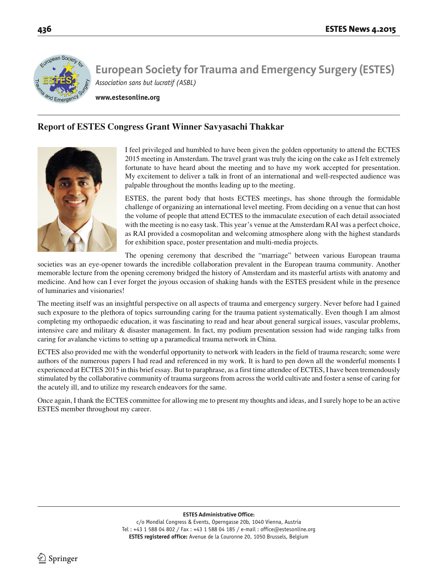

**www.estesonline.org**

# **Report of ESTES Congress Grant Winner Savyasachi Thakkar**



I feel privileged and humbled to have been given the golden opportunity to attend the ECTES 2015 meeting in Amsterdam. The travel grant was truly the icing on the cake as I felt extremely fortunate to have heard about the meeting and to have my work accepted for presentation. My excitement to deliver a talk in front of an international and well-respected audience was palpable throughout the months leading up to the meeting.

ESTES, the parent body that hosts ECTES meetings, has shone through the formidable challenge of organizing an international level meeting. From deciding on a venue that can host the volume of people that attend ECTES to the immaculate execution of each detail associated with the meeting is no easy task. This year's venue at the Amsterdam RAI was a perfect choice, as RAI provided a cosmopolitan and welcoming atmosphere along with the highest standards for exhibition space, poster presentation and multi-media projects.

The opening ceremony that described the "marriage" between various European trauma societies was an eye-opener towards the incredible collaboration prevalent in the European trauma community. Another memorable lecture from the opening ceremony bridged the history of Amsterdam and its masterful artists with anatomy and medicine. And how can I ever forget the joyous occasion of shaking hands with the ESTES president while in the presence of luminaries and visionaries!

The meeting itself was an insightful perspective on all aspects of trauma and emergency surgery. Never before had I gained such exposure to the plethora of topics surrounding caring for the trauma patient systematically. Even though I am almost completing my orthopaedic education, it was fascinating to read and hear about general surgical issues, vascular problems, intensive care and military & disaster management. In fact, my podium presentation session had wide ranging talks from caring for avalanche victims to setting up a paramedical trauma network in China.

ECTES also provided me with the wonderful opportunity to network with leaders in the field of trauma research; some were authors of the numerous papers I had read and referenced in my work. It is hard to pen down all the wonderful moments I experienced at ECTES 2015 in this brief essay. But to paraphrase, as a first time attendee of ECTES, I have been tremendously stimulated by the collaborative community of trauma surgeons from across the world cultivate and foster a sense of caring for the acutely ill, and to utilize my research endeavors for the same.

Once again, I thank the ECTES committee for allowing me to present my thoughts and ideas, and I surely hope to be an active ESTES member throughout my career.

**ESTES Administrative Office:**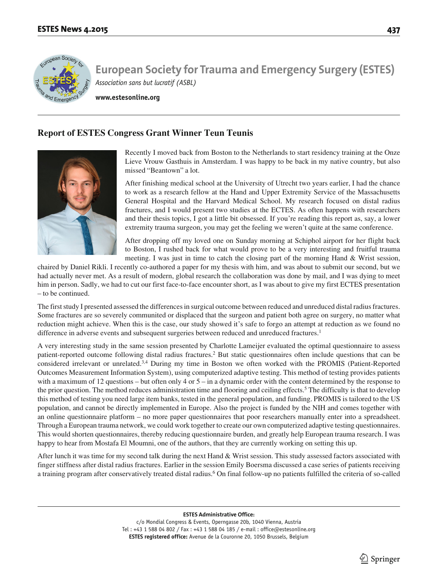

**www.estesonline.org**

## **Report of ESTES Congress Grant Winner Teun Teunis**



Recently I moved back from Boston to the Netherlands to start residency training at the Onze Lieve Vrouw Gasthuis in Amsterdam. I was happy to be back in my native country, but also missed "Beantown" a lot.

After finishing medical school at the University of Utrecht two years earlier, I had the chance to work as a research fellow at the Hand and Upper Extremity Service of the Massachusetts General Hospital and the Harvard Medical School. My research focused on distal radius fractures, and I would present two studies at the ECTES. As often happens with researchers and their thesis topics, I got a little bit obsessed. If you're reading this report as, say, a lower extremity trauma surgeon, you may get the feeling we weren't quite at the same conference.

After dropping off my loved one on Sunday morning at Schiphol airport for her flight back to Boston, I rushed back for what would prove to be a very interesting and fruitful trauma meeting. I was just in time to catch the closing part of the morning Hand & Wrist session,

chaired by Daniel Rikli. I recently co-authored a paper for my thesis with him, and was about to submit our second, but we had actually never met. As a result of modern, global research the collaboration was done by mail, and I was dying to meet him in person. Sadly, we had to cut our first face-to-face encounter short, as I was about to give my first ECTES presentation – to be continued.

The first study I presented assessed the differences in surgical outcome between reduced and unreduced distal radius fractures. Some fractures are so severely communited or displaced that the surgeon and patient both agree on surgery, no matter what reduction might achieve. When this is the case, our study showed it's safe to forgo an attempt at reduction as we found no difference in adverse events and subsequent surgeries between reduced and unreduced fractures.<sup>1</sup>

A very interesting study in the same session presented by Charlotte Lameijer evaluated the optimal questionnaire to assess patient-reported outcome following distal radius fractures.2 But static questionnaires often include questions that can be considered irrelevant or unrelated.3,4 During my time in Boston we often worked with the PROMIS (Patient-Reported Outcomes Measurement Information System), using computerized adaptive testing. This method of testing provides patients with a maximum of 12 questions – but often only 4 or 5 – in a dynamic order with the content determined by the response to the prior question. The method reduces administration time and flooring and ceiling effects.<sup>5</sup> The difficulty is that to develop this method of testing you need large item banks, tested in the general population, and funding. PROMIS is tailored to the US population, and cannot be directly implemented in Europe. Also the project is funded by the NIH and comes together with an online questionnaire platform – no more paper questionnaires that poor researchers manually enter into a spreadsheet. Through a European trauma network, we could work together to create our own computerized adaptive testing questionnaires. This would shorten questionnaires, thereby reducing questionnaire burden, and greatly help European trauma research. I was happy to hear from Mostafa El Moumni, one of the authors, that they are currently working on setting this up.

After lunch it was time for my second talk during the next Hand & Wrist session. This study assessed factors associated with finger stiffness after distal radius fractures. Earlier in the session Emily Boersma discussed a case series of patients receiving a training program after conservatively treated distal radius.<sup>6</sup> On final follow-up no patients fulfilled the criteria of so-called

**ESTES Administrative Office:**

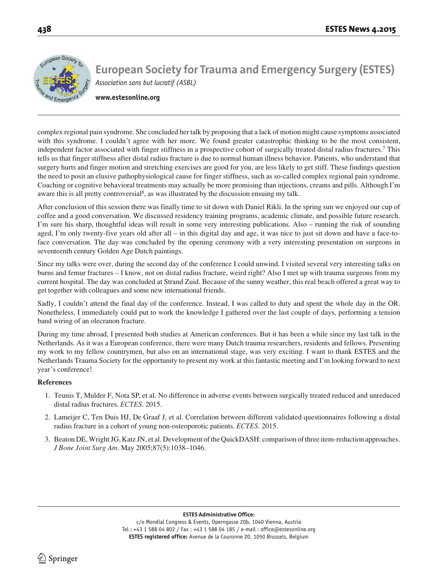

**www.estesonline.org**

complex regional pain syndrome. She concluded her talk by proposing that a lack of motion might cause symptoms associated with this syndrome. I couldn't agree with her more. We found greater catastrophic thinking to be the most consistent, independent factor associated with finger stiffness in a prospective cohort of surgically treated distal radius fractures.<sup>7</sup> This tells us that finger stiffness after distal radius fracture is due to normal human illness behavior. Patients, who understand that surgery hurts and finger motion and stretching exercises are good for you, are less likely to get stiff. These findings question the need to posit an elusive pathophysiological cause for finger stiffness, such as so-called complex regional pain syndrome. Coaching or cognitive behavioral treatments may actually be more promising than injections, creams and pills. Although I'm aware this is all pretty controversial<sup>8</sup>, as was illustrated by the discussion ensuing my talk.

After conclusion of this session there was finally time to sit down with Daniel Rikli. In the spring sun we enjoyed our cup of coffee and a good conversation. We discussed residency training programs, academic climate, and possible future research. I'm sure his sharp, thoughtful ideas will result in some very interesting publications. Also – running the risk of sounding aged, I'm only twenty-five years old after all – in this digital day and age, it was nice to just sit down and have a face-toface conversation. The day was concluded by the opening ceremony with a very interesting presentation on surgeons in seventeenth century Golden Age Dutch paintings.

Since my talks were over, during the second day of the conference I could unwind. I visited several very interesting talks on burns and femur fractures – I know, not on distal radius fracture, weird right? Also I met up with trauma surgeons from my current hospital. The day was concluded at Strand Zuid. Because of the sunny weather, this real beach offered a great way to get together with colleagues and some new international friends.

Sadly, I couldn't attend the final day of the conference. Instead, I was called to duty and spent the whole day in the OR. Nonetheless, I immediately could put to work the knowledge I gathered over the last couple of days, performing a tension band wiring of an olecranon fracture.

During my time abroad, I presented both studies at American conferences. But it has been a while since my last talk in the Netherlands. As it was a European conference, there were many Dutch trauma researchers, residents and fellows. Presenting my work to my fellow countrymen, but also on an international stage, was very exciting. I want to thank ESTES and the Netherlands Trauma Society for the opportunity to present my work at this fantastic meeting and I'm looking forward to next year's conference!

## **References**

- 1. Teunis T, Mulder F, Nota SP, et al. No difference in adverse events between surgically treated reduced and unreduced distal radius fractures. *ECTES*. 2015.
- 2. Lameijer C, Ten Duis HJ, De Graaf J, et al. Correlation between different validated questionnaires following a distal radius fracture in a cohort of young non-osteoporotic patients. *ECTES*. 2015.
- 3. Beaton DE, Wright JG, Katz JN, et al. Development of the QuickDASH: comparison of three item-reduction approaches. *J Bone Joint Surg Am*. May 2005;87(5):1038–1046.

**ESTES Administrative Office:**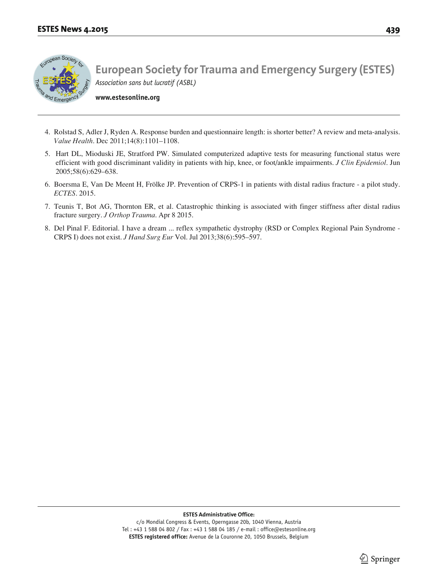

**www.estesonline.org**

- 4. Rolstad S, Adler J, Ryden A. Response burden and questionnaire length: is shorter better? A review and meta-analysis. *Value Health*. Dec 2011;14(8):1101–1108.
- 5. Hart DL, Mioduski JE, Stratford PW. Simulated computerized adaptive tests for measuring functional status were efficient with good discriminant validity in patients with hip, knee, or foot/ankle impairments. *J Clin Epidemiol*. Jun 2005;58(6):629–638.
- 6. Boersma E, Van De Meent H, Frölke JP. Prevention of CRPS-1 in patients with distal radius fracture a pilot study. *ECTES*. 2015.
- 7. Teunis T, Bot AG, Thornton ER, et al. Catastrophic thinking is associated with finger stiffness after distal radius fracture surgery. *J Orthop Trauma*. Apr 8 2015.
- 8. Del Pinal F. Editorial. I have a dream ... reflex sympathetic dystrophy (RSD or Complex Regional Pain Syndrome CRPS I) does not exist. *J Hand Surg Eur* Vol. Jul 2013;38(6):595–597.

**ESTES Administrative Office:**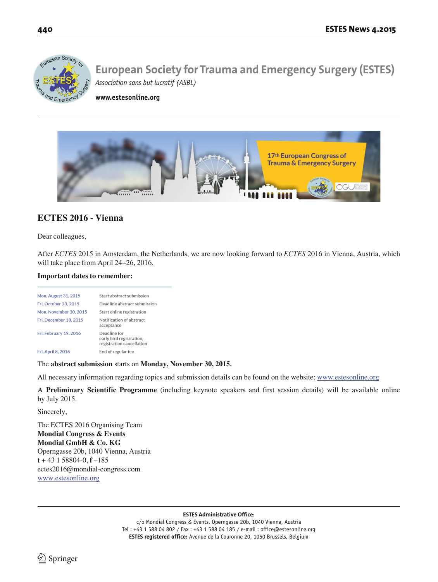

**www.estesonline.org**



## **ECTES 2016 - Vienna**

Dear colleagues,

After *ECTES* 2015 in Amsterdam, the Netherlands, we are now looking forward to *ECTES* 2016 in Vienna, Austria, which will take place from April 24–26, 2016.

#### **Important dates to remember:**

| <b>Mon, August 31, 2015</b> | Start abstract submission                                             |
|-----------------------------|-----------------------------------------------------------------------|
| Fri, October 23, 2015       | Deadline abstract submission                                          |
| Mon, November 30, 2015      | Start online registration                                             |
| Fri, December 18, 2015      | Notification of abstract<br>acceptance                                |
| Fri, February 19, 2016      | Deadline for<br>early bird registration.<br>registration cancellation |
| <b>Fri, April 8, 2016</b>   | End of regular fee                                                    |

The **abstract submission** starts on **Monday, November 30, 2015.**

All necessary information regarding topics and submission details can be found on the website: www.estesonline.org

A **Preliminary Scientific Programme** (including keynote speakers and first session details) will be available online by July 2015.

Sincerely,

The ECTES 2016 Organising Team **Mondial Congress & Events Mondial GmbH & Co. KG** Operngasse 20b, 1040 Vienna, Austria **t** + 43 1 58804-0, **f** –185 ectes2016@mondial-congress.com www.estesonline.org

**ESTES Administrative Office:**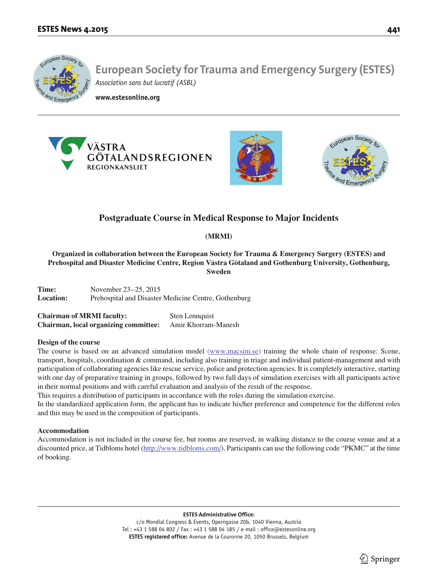

**www.estesonline.org**







# **Postgraduate Course in Medical Response to Major Incidents**

**(MRMI)**

**Organized in collaboration between the European Society for Trauma & Emergency Surgery (ESTES) and Prehospital and Disaster Medicine Centre, Region Västra Götaland and Gothenburg University, Gothenburg, Sweden**

**Time:** November 23–25, 2015 **Location:** Prehospital and Disaster Medicine Centre, Gothenburg

**Chairman of MRMI faculty:** Sten Lennquist **Chairman, local organizing committee:** Amir Khorram-Manesh

#### **Design of the course**

The course is based on an advanced simulation model (www.macsim.se) training the whole chain of response: Scene, transport, hospitals, coordination & command, including also training in triage and individual patient-management and with participation of collaborating agencies like rescue service, police and protection agencies. It is completely interactive, starting with one day of preparative training in groups, followed by two full days of simulation exercises with all participants active in their normal positions and with careful evaluation and analysis of the result of the response.

This requires a distribution of participants in accordance with the roles during the simulation exercise.

In the standardized application form, the applicant has to indicate his/her preference and competence for the different roles and this may be used in the composition of participants.

#### **Accommodation**

Accommodation is not included in the course fee, but rooms are reserved, in walking distance to the course venue and at a discounted price, at Tidbloms hotel (http://www.tidbloms.com/). Participants can use the following code "PKMC" at the time of booking.

**ESTES Administrative Office:**

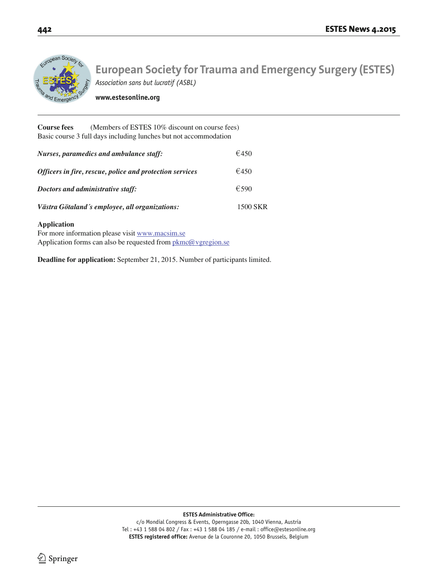

**www.estesonline.org**

| <b>Course fees</b> | (Members of ESTES 10% discount on course fees)                   |
|--------------------|------------------------------------------------------------------|
|                    | Basic course 3 full days including lunches but not accommodation |

| Nurses, paramedics and ambulance staff:                  | €450     |  |
|----------------------------------------------------------|----------|--|
| Officers in fire, rescue, police and protection services | €450     |  |
| Doctors and administrative staff:                        | €590     |  |
| Västra Götaland's employee, all organizations:           | 1500 SKR |  |
| <b>Application</b>                                       |          |  |

For more information please visit www.macsim.se Application forms can also be requested from  $\frac{p}{p \cdot p}$  by engineering Application.se

**Deadline for application:** September 21, 2015. Number of participants limited.

**ESTES Administrative Office:**